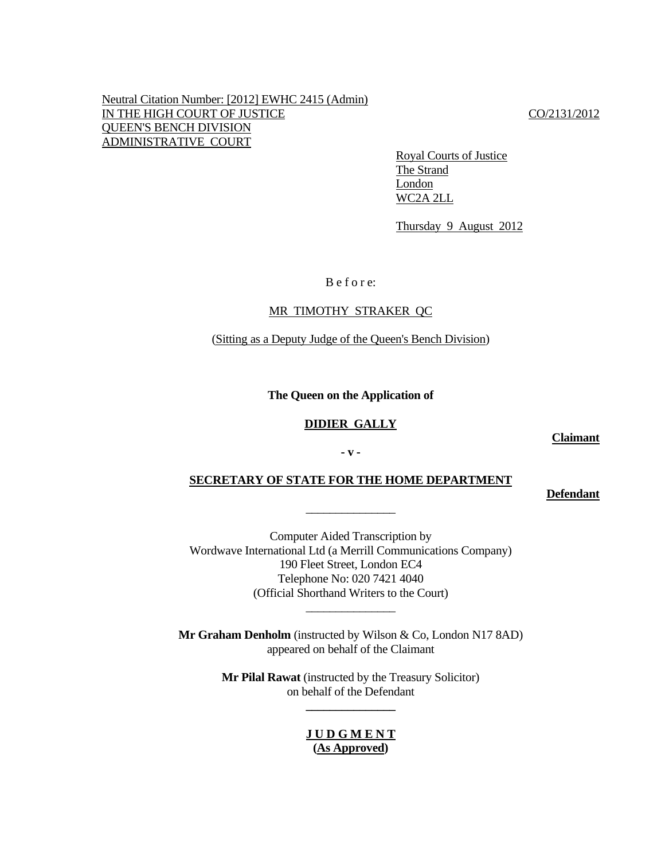Neutral Citation Number: [2012] EWHC 2415 (Admin) IN THE HIGH COURT OF JUSTICE CO/2131/2012 QUEEN'S BENCH DIVISION ADMINISTRATIVE COURT

 $\mathcal{L}_\text{max}$  and  $\mathcal{L}_\text{max}$  are the set of the set of the set of the set of the set of the set of the set of the set of the set of the set of the set of the set of the set of the set of the set of the set of the set o

 $\mathcal{L}_\text{max}$  and  $\mathcal{L}_\text{max}$  and  $\mathcal{L}_\text{max}$  and  $\mathcal{L}_\text{max}$ 

 **\_\_\_\_\_\_\_\_\_\_\_\_\_\_\_**

 Royal Courts of Justice The Strand London WC2A 2LL

Thursday 9 August 2012

B e f o r e:

## MR TIMOTHY STRAKER QC

(Sitting as a Deputy Judge of the Queen's Bench Division)

 **The Queen on the Application of**

### **DIDIER GALLY**

**Claimant**

# **- v -**

## **SECRETARY OF STATE FOR THE HOME DEPARTMENT**

**Defendant**

 Computer Aided Transcription by Wordwave International Ltd (a Merrill Communications Company) 190 Fleet Street, London EC4 Telephone No: 020 7421 4040 (Official Shorthand Writers to the Court)

 **Mr Graham Denholm** (instructed by Wilson & Co, London N17 8AD) appeared on behalf of the Claimant

> **Mr Pilal Rawat** (instructed by the Treasury Solicitor) on behalf of the Defendant

# **J U D G M E N T (As Approved)**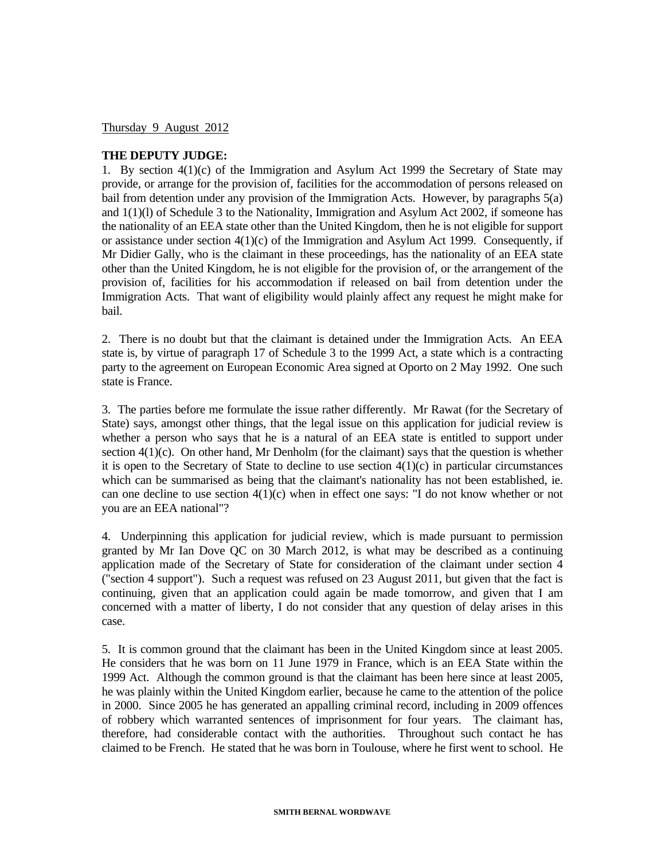Thursday 9 August 2012

# **THE DEPUTY JUDGE:**

1. By section 4(1)(c) of the Immigration and Asylum Act 1999 the Secretary of State may provide, or arrange for the provision of, facilities for the accommodation of persons released on bail from detention under any provision of the Immigration Acts. However, by paragraphs 5(a) and 1(1)(l) of Schedule 3 to the Nationality, Immigration and Asylum Act 2002, if someone has the nationality of an EEA state other than the United Kingdom, then he is not eligible for support or assistance under section 4(1)(c) of the Immigration and Asylum Act 1999. Consequently, if Mr Didier Gally, who is the claimant in these proceedings, has the nationality of an EEA state other than the United Kingdom, he is not eligible for the provision of, or the arrangement of the provision of, facilities for his accommodation if released on bail from detention under the Immigration Acts. That want of eligibility would plainly affect any request he might make for bail.

2. There is no doubt but that the claimant is detained under the Immigration Acts. An EEA state is, by virtue of paragraph 17 of Schedule 3 to the 1999 Act, a state which is a contracting party to the agreement on European Economic Area signed at Oporto on 2 May 1992. One such state is France.

3. The parties before me formulate the issue rather differently. Mr Rawat (for the Secretary of State) says, amongst other things, that the legal issue on this application for judicial review is whether a person who says that he is a natural of an EEA state is entitled to support under section  $4(1)(c)$ . On other hand, Mr Denholm (for the claimant) says that the question is whether it is open to the Secretary of State to decline to use section  $4(1)(c)$  in particular circumstances which can be summarised as being that the claimant's nationality has not been established, ie. can one decline to use section  $4(1)(c)$  when in effect one says: "I do not know whether or not you are an EEA national"?

4. Underpinning this application for judicial review, which is made pursuant to permission granted by Mr Ian Dove QC on 30 March 2012, is what may be described as a continuing application made of the Secretary of State for consideration of the claimant under section 4 ("section 4 support"). Such a request was refused on 23 August 2011, but given that the fact is continuing, given that an application could again be made tomorrow, and given that I am concerned with a matter of liberty, I do not consider that any question of delay arises in this case.

5. It is common ground that the claimant has been in the United Kingdom since at least 2005. He considers that he was born on 11 June 1979 in France, which is an EEA State within the 1999 Act. Although the common ground is that the claimant has been here since at least 2005, he was plainly within the United Kingdom earlier, because he came to the attention of the police in 2000. Since 2005 he has generated an appalling criminal record, including in 2009 offences of robbery which warranted sentences of imprisonment for four years. The claimant has, therefore, had considerable contact with the authorities. Throughout such contact he has claimed to be French. He stated that he was born in Toulouse, where he first went to school. He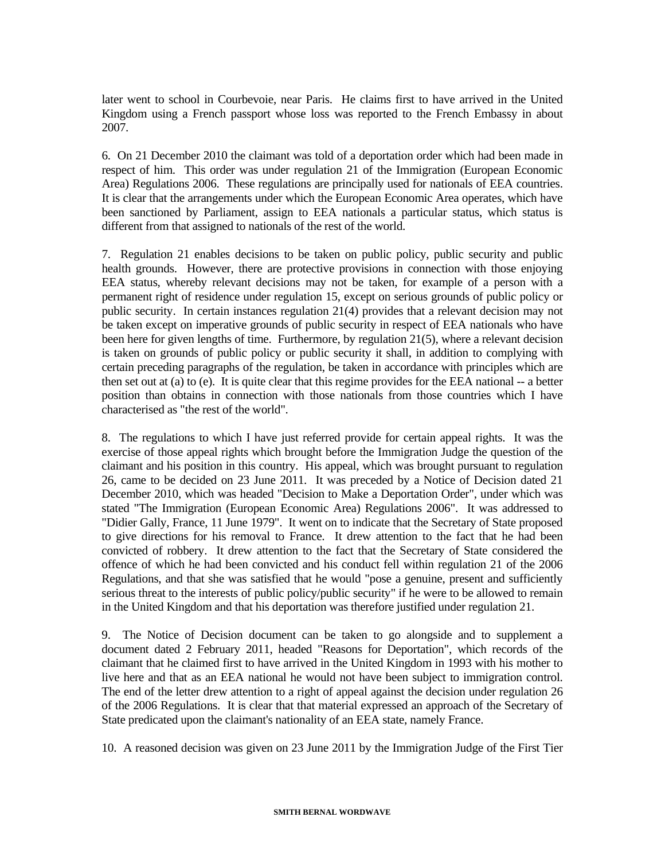later went to school in Courbevoie, near Paris. He claims first to have arrived in the United Kingdom using a French passport whose loss was reported to the French Embassy in about 2007.

6. On 21 December 2010 the claimant was told of a deportation order which had been made in respect of him. This order was under regulation 21 of the Immigration (European Economic Area) Regulations 2006. These regulations are principally used for nationals of EEA countries. It is clear that the arrangements under which the European Economic Area operates, which have been sanctioned by Parliament, assign to EEA nationals a particular status, which status is different from that assigned to nationals of the rest of the world.

7. Regulation 21 enables decisions to be taken on public policy, public security and public health grounds. However, there are protective provisions in connection with those enjoying EEA status, whereby relevant decisions may not be taken, for example of a person with a permanent right of residence under regulation 15, except on serious grounds of public policy or public security. In certain instances regulation 21(4) provides that a relevant decision may not be taken except on imperative grounds of public security in respect of EEA nationals who have been here for given lengths of time. Furthermore, by regulation 21(5), where a relevant decision is taken on grounds of public policy or public security it shall, in addition to complying with certain preceding paragraphs of the regulation, be taken in accordance with principles which are then set out at (a) to (e). It is quite clear that this regime provides for the EEA national -- a better position than obtains in connection with those nationals from those countries which I have characterised as "the rest of the world".

8. The regulations to which I have just referred provide for certain appeal rights. It was the exercise of those appeal rights which brought before the Immigration Judge the question of the claimant and his position in this country. His appeal, which was brought pursuant to regulation 26, came to be decided on 23 June 2011. It was preceded by a Notice of Decision dated 21 December 2010, which was headed "Decision to Make a Deportation Order", under which was stated "The Immigration (European Economic Area) Regulations 2006". It was addressed to "Didier Gally, France, 11 June 1979". It went on to indicate that the Secretary of State proposed to give directions for his removal to France. It drew attention to the fact that he had been convicted of robbery. It drew attention to the fact that the Secretary of State considered the offence of which he had been convicted and his conduct fell within regulation 21 of the 2006 Regulations, and that she was satisfied that he would "pose a genuine, present and sufficiently serious threat to the interests of public policy/public security" if he were to be allowed to remain in the United Kingdom and that his deportation was therefore justified under regulation 21.

9. The Notice of Decision document can be taken to go alongside and to supplement a document dated 2 February 2011, headed "Reasons for Deportation", which records of the claimant that he claimed first to have arrived in the United Kingdom in 1993 with his mother to live here and that as an EEA national he would not have been subject to immigration control. The end of the letter drew attention to a right of appeal against the decision under regulation 26 of the 2006 Regulations. It is clear that that material expressed an approach of the Secretary of State predicated upon the claimant's nationality of an EEA state, namely France.

10. A reasoned decision was given on 23 June 2011 by the Immigration Judge of the First Tier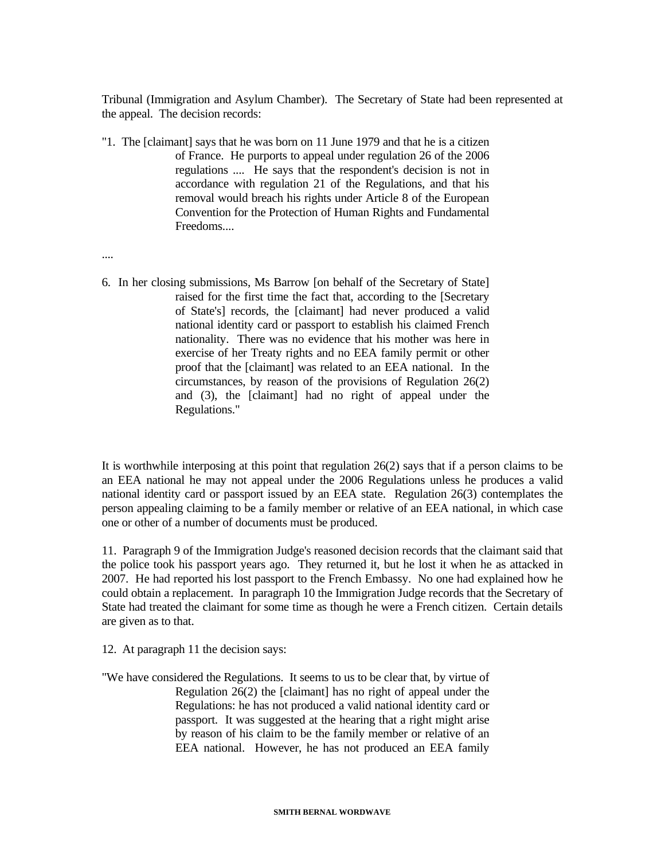Tribunal (Immigration and Asylum Chamber). The Secretary of State had been represented at the appeal. The decision records:

"1. The [claimant] says that he was born on 11 June 1979 and that he is a citizen of France. He purports to appeal under regulation 26 of the 2006 regulations .... He says that the respondent's decision is not in accordance with regulation 21 of the Regulations, and that his removal would breach his rights under Article 8 of the European Convention for the Protection of Human Rights and Fundamental Freedoms....

....

6. In her closing submissions, Ms Barrow [on behalf of the Secretary of State] raised for the first time the fact that, according to the [Secretary of State's] records, the [claimant] had never produced a valid national identity card or passport to establish his claimed French nationality. There was no evidence that his mother was here in exercise of her Treaty rights and no EEA family permit or other proof that the [claimant] was related to an EEA national. In the circumstances, by reason of the provisions of Regulation 26(2) and (3), the [claimant] had no right of appeal under the Regulations."

It is worthwhile interposing at this point that regulation 26(2) says that if a person claims to be an EEA national he may not appeal under the 2006 Regulations unless he produces a valid national identity card or passport issued by an EEA state. Regulation 26(3) contemplates the person appealing claiming to be a family member or relative of an EEA national, in which case one or other of a number of documents must be produced.

11. Paragraph 9 of the Immigration Judge's reasoned decision records that the claimant said that the police took his passport years ago. They returned it, but he lost it when he as attacked in 2007. He had reported his lost passport to the French Embassy. No one had explained how he could obtain a replacement. In paragraph 10 the Immigration Judge records that the Secretary of State had treated the claimant for some time as though he were a French citizen. Certain details are given as to that.

12. At paragraph 11 the decision says:

"We have considered the Regulations. It seems to us to be clear that, by virtue of Regulation 26(2) the [claimant] has no right of appeal under the Regulations: he has not produced a valid national identity card or passport. It was suggested at the hearing that a right might arise by reason of his claim to be the family member or relative of an EEA national. However, he has not produced an EEA family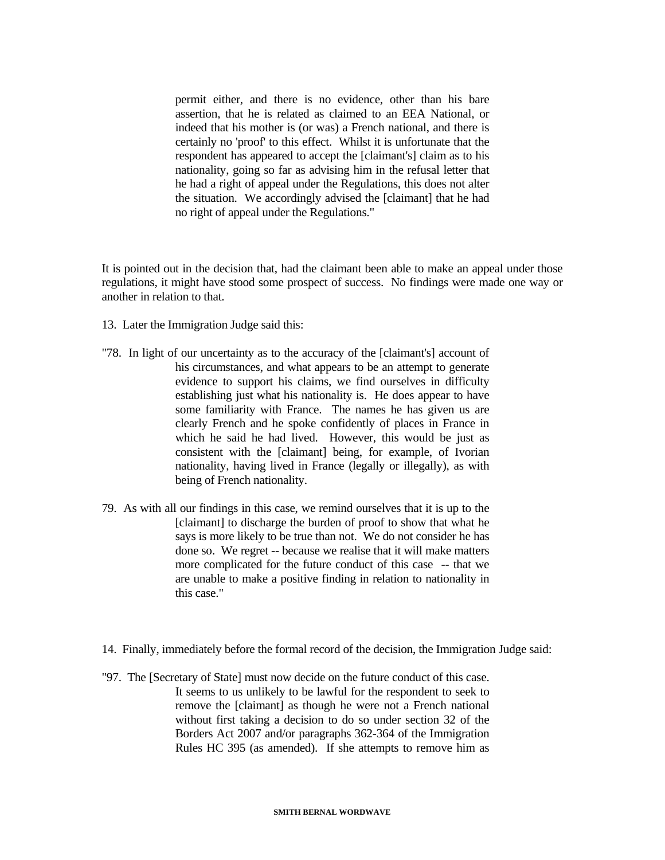permit either, and there is no evidence, other than his bare assertion, that he is related as claimed to an EEA National, or indeed that his mother is (or was) a French national, and there is certainly no 'proof' to this effect. Whilst it is unfortunate that the respondent has appeared to accept the [claimant's] claim as to his nationality, going so far as advising him in the refusal letter that he had a right of appeal under the Regulations, this does not alter the situation. We accordingly advised the [claimant] that he had no right of appeal under the Regulations."

It is pointed out in the decision that, had the claimant been able to make an appeal under those regulations, it might have stood some prospect of success. No findings were made one way or another in relation to that.

- 13. Later the Immigration Judge said this:
- "78. In light of our uncertainty as to the accuracy of the [claimant's] account of his circumstances, and what appears to be an attempt to generate evidence to support his claims, we find ourselves in difficulty establishing just what his nationality is. He does appear to have some familiarity with France. The names he has given us are clearly French and he spoke confidently of places in France in which he said he had lived. However, this would be just as consistent with the [claimant] being, for example, of Ivorian nationality, having lived in France (legally or illegally), as with being of French nationality.
- 79. As with all our findings in this case, we remind ourselves that it is up to the [claimant] to discharge the burden of proof to show that what he says is more likely to be true than not. We do not consider he has done so. We regret -- because we realise that it will make matters more complicated for the future conduct of this case -- that we are unable to make a positive finding in relation to nationality in this case."
- 14. Finally, immediately before the formal record of the decision, the Immigration Judge said:
- "97. The [Secretary of State] must now decide on the future conduct of this case. It seems to us unlikely to be lawful for the respondent to seek to remove the [claimant] as though he were not a French national without first taking a decision to do so under section 32 of the Borders Act 2007 and/or paragraphs 362-364 of the Immigration Rules HC 395 (as amended). If she attempts to remove him as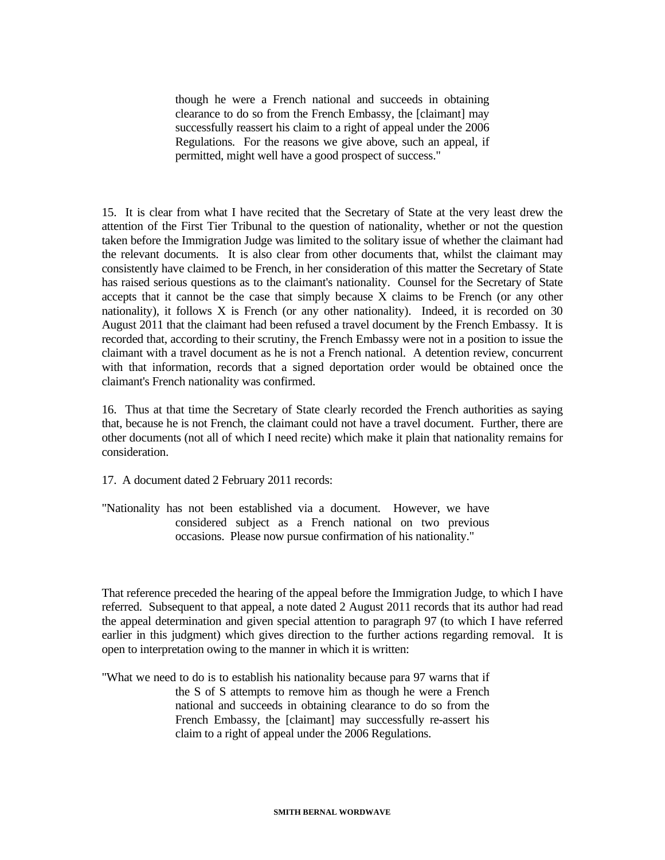though he were a French national and succeeds in obtaining clearance to do so from the French Embassy, the [claimant] may successfully reassert his claim to a right of appeal under the 2006 Regulations. For the reasons we give above, such an appeal, if permitted, might well have a good prospect of success."

15. It is clear from what I have recited that the Secretary of State at the very least drew the attention of the First Tier Tribunal to the question of nationality, whether or not the question taken before the Immigration Judge was limited to the solitary issue of whether the claimant had the relevant documents. It is also clear from other documents that, whilst the claimant may consistently have claimed to be French, in her consideration of this matter the Secretary of State has raised serious questions as to the claimant's nationality. Counsel for the Secretary of State accepts that it cannot be the case that simply because X claims to be French (or any other nationality), it follows X is French (or any other nationality). Indeed, it is recorded on 30 August 2011 that the claimant had been refused a travel document by the French Embassy. It is recorded that, according to their scrutiny, the French Embassy were not in a position to issue the claimant with a travel document as he is not a French national. A detention review, concurrent with that information, records that a signed deportation order would be obtained once the claimant's French nationality was confirmed.

16. Thus at that time the Secretary of State clearly recorded the French authorities as saying that, because he is not French, the claimant could not have a travel document. Further, there are other documents (not all of which I need recite) which make it plain that nationality remains for consideration.

17. A document dated 2 February 2011 records:

"Nationality has not been established via a document. However, we have considered subject as a French national on two previous occasions. Please now pursue confirmation of his nationality."

That reference preceded the hearing of the appeal before the Immigration Judge, to which I have referred. Subsequent to that appeal, a note dated 2 August 2011 records that its author had read the appeal determination and given special attention to paragraph 97 (to which I have referred earlier in this judgment) which gives direction to the further actions regarding removal. It is open to interpretation owing to the manner in which it is written:

"What we need to do is to establish his nationality because para 97 warns that if the S of S attempts to remove him as though he were a French national and succeeds in obtaining clearance to do so from the French Embassy, the [claimant] may successfully re-assert his claim to a right of appeal under the 2006 Regulations.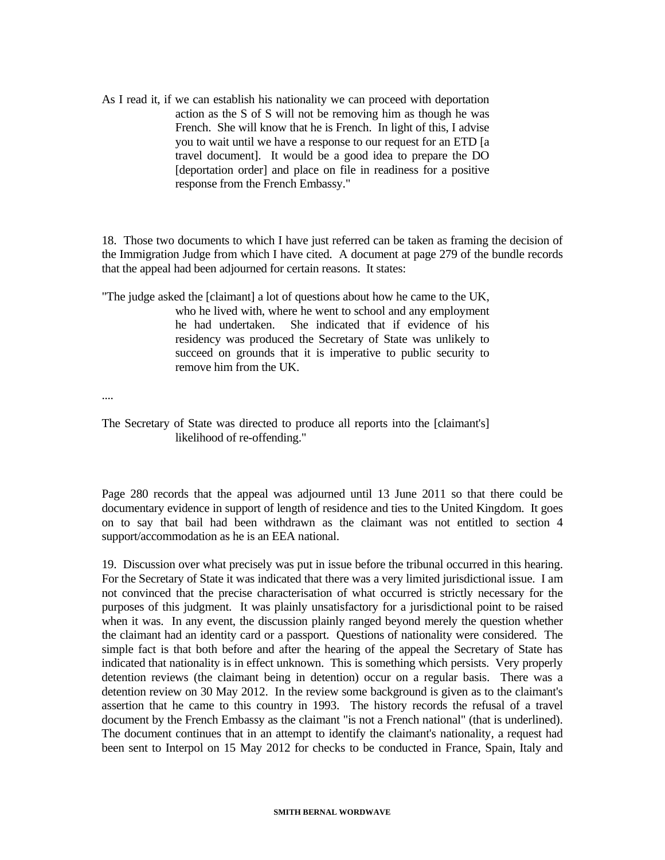As I read it, if we can establish his nationality we can proceed with deportation action as the S of S will not be removing him as though he was French. She will know that he is French. In light of this, I advise you to wait until we have a response to our request for an ETD [a travel document]. It would be a good idea to prepare the DO [deportation order] and place on file in readiness for a positive response from the French Embassy."

18. Those two documents to which I have just referred can be taken as framing the decision of the Immigration Judge from which I have cited. A document at page 279 of the bundle records that the appeal had been adjourned for certain reasons. It states:

"The judge asked the [claimant] a lot of questions about how he came to the UK, who he lived with, where he went to school and any employment he had undertaken. She indicated that if evidence of his residency was produced the Secretary of State was unlikely to succeed on grounds that it is imperative to public security to remove him from the UK.

....

The Secretary of State was directed to produce all reports into the [claimant's] likelihood of re-offending."

Page 280 records that the appeal was adjourned until 13 June 2011 so that there could be documentary evidence in support of length of residence and ties to the United Kingdom. It goes on to say that bail had been withdrawn as the claimant was not entitled to section 4 support/accommodation as he is an EEA national.

19. Discussion over what precisely was put in issue before the tribunal occurred in this hearing. For the Secretary of State it was indicated that there was a very limited jurisdictional issue. I am not convinced that the precise characterisation of what occurred is strictly necessary for the purposes of this judgment. It was plainly unsatisfactory for a jurisdictional point to be raised when it was. In any event, the discussion plainly ranged beyond merely the question whether the claimant had an identity card or a passport. Questions of nationality were considered. The simple fact is that both before and after the hearing of the appeal the Secretary of State has indicated that nationality is in effect unknown. This is something which persists. Very properly detention reviews (the claimant being in detention) occur on a regular basis. There was a detention review on 30 May 2012. In the review some background is given as to the claimant's assertion that he came to this country in 1993. The history records the refusal of a travel document by the French Embassy as the claimant "is not a French national" (that is underlined). The document continues that in an attempt to identify the claimant's nationality, a request had been sent to Interpol on 15 May 2012 for checks to be conducted in France, Spain, Italy and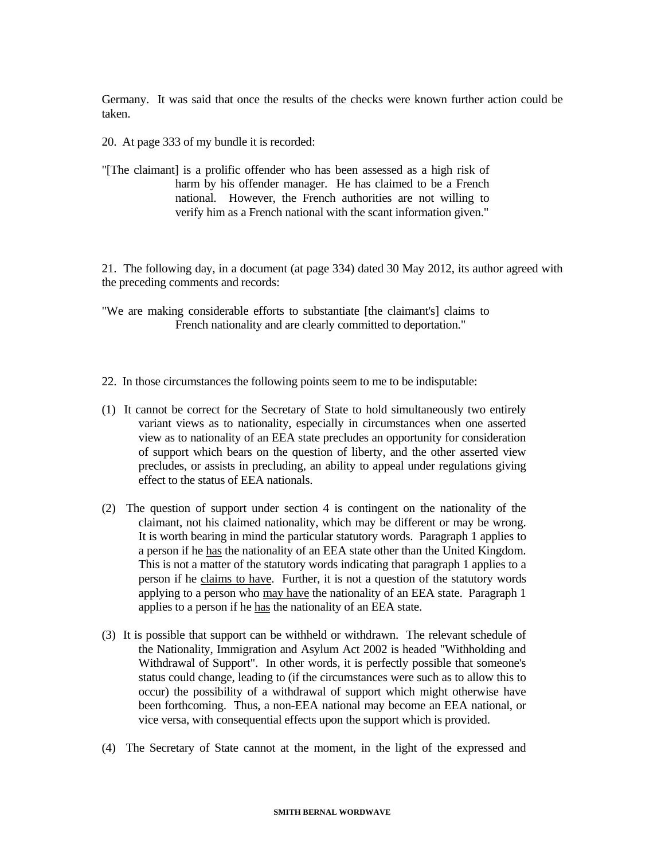Germany. It was said that once the results of the checks were known further action could be taken.

- 20. At page 333 of my bundle it is recorded:
- "[The claimant] is a prolific offender who has been assessed as a high risk of harm by his offender manager. He has claimed to be a French national. However, the French authorities are not willing to verify him as a French national with the scant information given."

21. The following day, in a document (at page 334) dated 30 May 2012, its author agreed with the preceding comments and records:

- "We are making considerable efforts to substantiate [the claimant's] claims to French nationality and are clearly committed to deportation."
- 22. In those circumstances the following points seem to me to be indisputable:
- (1) It cannot be correct for the Secretary of State to hold simultaneously two entirely variant views as to nationality, especially in circumstances when one asserted view as to nationality of an EEA state precludes an opportunity for consideration of support which bears on the question of liberty, and the other asserted view precludes, or assists in precluding, an ability to appeal under regulations giving effect to the status of EEA nationals.
- (2) The question of support under section 4 is contingent on the nationality of the claimant, not his claimed nationality, which may be different or may be wrong. It is worth bearing in mind the particular statutory words. Paragraph 1 applies to a person if he has the nationality of an EEA state other than the United Kingdom. This is not a matter of the statutory words indicating that paragraph 1 applies to a person if he claims to have. Further, it is not a question of the statutory words applying to a person who may have the nationality of an EEA state. Paragraph 1 applies to a person if he has the nationality of an EEA state.
- (3) It is possible that support can be withheld or withdrawn. The relevant schedule of the Nationality, Immigration and Asylum Act 2002 is headed "Withholding and Withdrawal of Support". In other words, it is perfectly possible that someone's status could change, leading to (if the circumstances were such as to allow this to occur) the possibility of a withdrawal of support which might otherwise have been forthcoming. Thus, a non-EEA national may become an EEA national, or vice versa, with consequential effects upon the support which is provided.
- (4) The Secretary of State cannot at the moment, in the light of the expressed and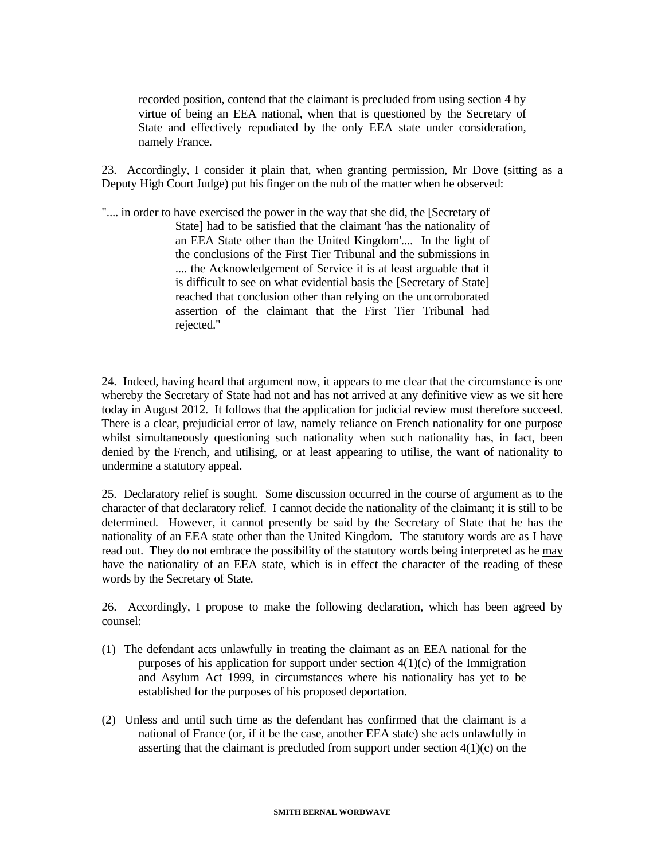recorded position, contend that the claimant is precluded from using section 4 by virtue of being an EEA national, when that is questioned by the Secretary of State and effectively repudiated by the only EEA state under consideration, namely France.

23. Accordingly, I consider it plain that, when granting permission, Mr Dove (sitting as a Deputy High Court Judge) put his finger on the nub of the matter when he observed:

".... in order to have exercised the power in the way that she did, the [Secretary of State] had to be satisfied that the claimant 'has the nationality of an EEA State other than the United Kingdom'.... In the light of the conclusions of the First Tier Tribunal and the submissions in .... the Acknowledgement of Service it is at least arguable that it is difficult to see on what evidential basis the [Secretary of State] reached that conclusion other than relying on the uncorroborated assertion of the claimant that the First Tier Tribunal had rejected."

24. Indeed, having heard that argument now, it appears to me clear that the circumstance is one whereby the Secretary of State had not and has not arrived at any definitive view as we sit here today in August 2012. It follows that the application for judicial review must therefore succeed. There is a clear, prejudicial error of law, namely reliance on French nationality for one purpose whilst simultaneously questioning such nationality when such nationality has, in fact, been denied by the French, and utilising, or at least appearing to utilise, the want of nationality to undermine a statutory appeal.

25. Declaratory relief is sought. Some discussion occurred in the course of argument as to the character of that declaratory relief. I cannot decide the nationality of the claimant; it is still to be determined. However, it cannot presently be said by the Secretary of State that he has the nationality of an EEA state other than the United Kingdom. The statutory words are as I have read out. They do not embrace the possibility of the statutory words being interpreted as he may have the nationality of an EEA state, which is in effect the character of the reading of these words by the Secretary of State.

26. Accordingly, I propose to make the following declaration, which has been agreed by counsel:

- (1) The defendant acts unlawfully in treating the claimant as an EEA national for the purposes of his application for support under section  $4(1)(c)$  of the Immigration and Asylum Act 1999, in circumstances where his nationality has yet to be established for the purposes of his proposed deportation.
- (2) Unless and until such time as the defendant has confirmed that the claimant is a national of France (or, if it be the case, another EEA state) she acts unlawfully in asserting that the claimant is precluded from support under section 4(1)(c) on the